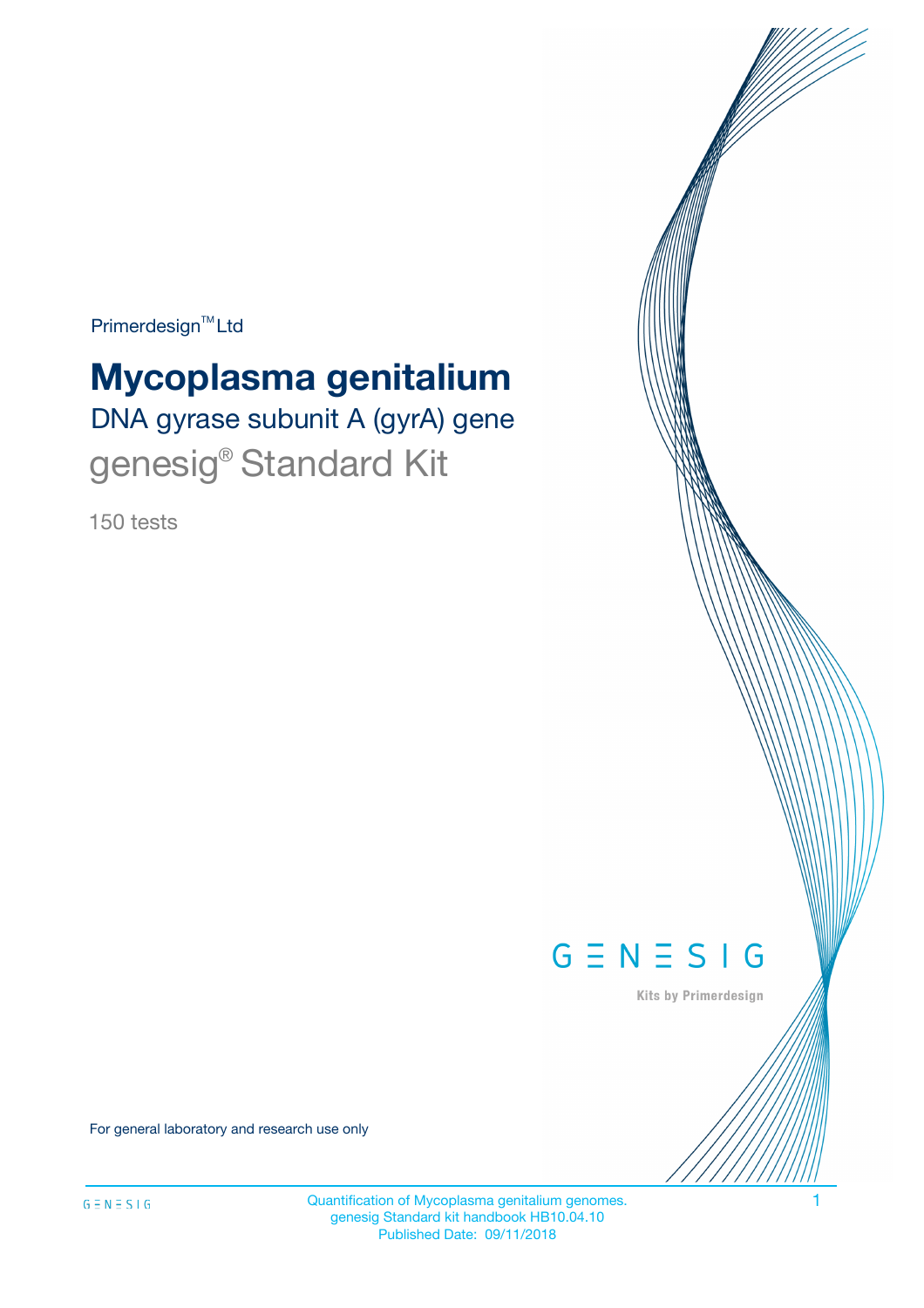Primerdesign<sup>™</sup>Ltd

# **Mycoplasma genitalium**

DNA gyrase subunit A (gyrA) gene genesig® Standard Kit

150 tests



Kits by Primerdesign

For general laboratory and research use only

Quantification of Mycoplasma genitalium genomes. 1 genesig Standard kit handbook HB10.04.10 Published Date: 09/11/2018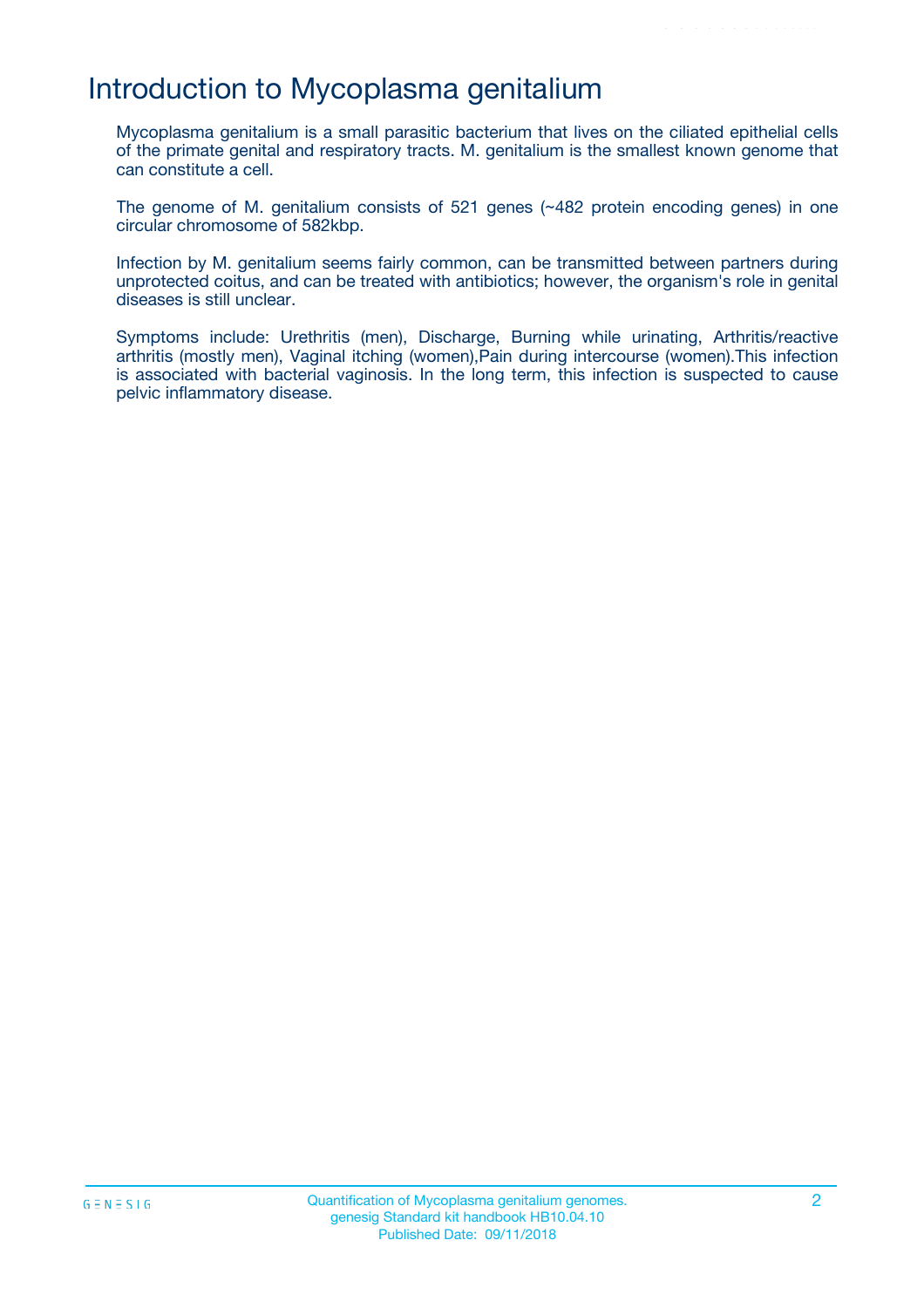## Introduction to Mycoplasma genitalium

Mycoplasma genitalium is a small parasitic bacterium that lives on the ciliated epithelial cells of the primate genital and respiratory tracts. M. genitalium is the smallest known genome that can constitute a cell.

The genome of M. genitalium consists of 521 genes (~482 protein encoding genes) in one circular chromosome of 582kbp.

Infection by M. genitalium seems fairly common, can be transmitted between partners during unprotected coitus, and can be treated with antibiotics; however, the organism's role in genital diseases is still unclear.

Symptoms include: Urethritis (men), Discharge, Burning while urinating, Arthritis/reactive arthritis (mostly men), Vaginal itching (women), Pain during intercourse (women). This infection is associated with bacterial vaginosis. In the long term, this infection is suspected to cause pelvic inflammatory disease.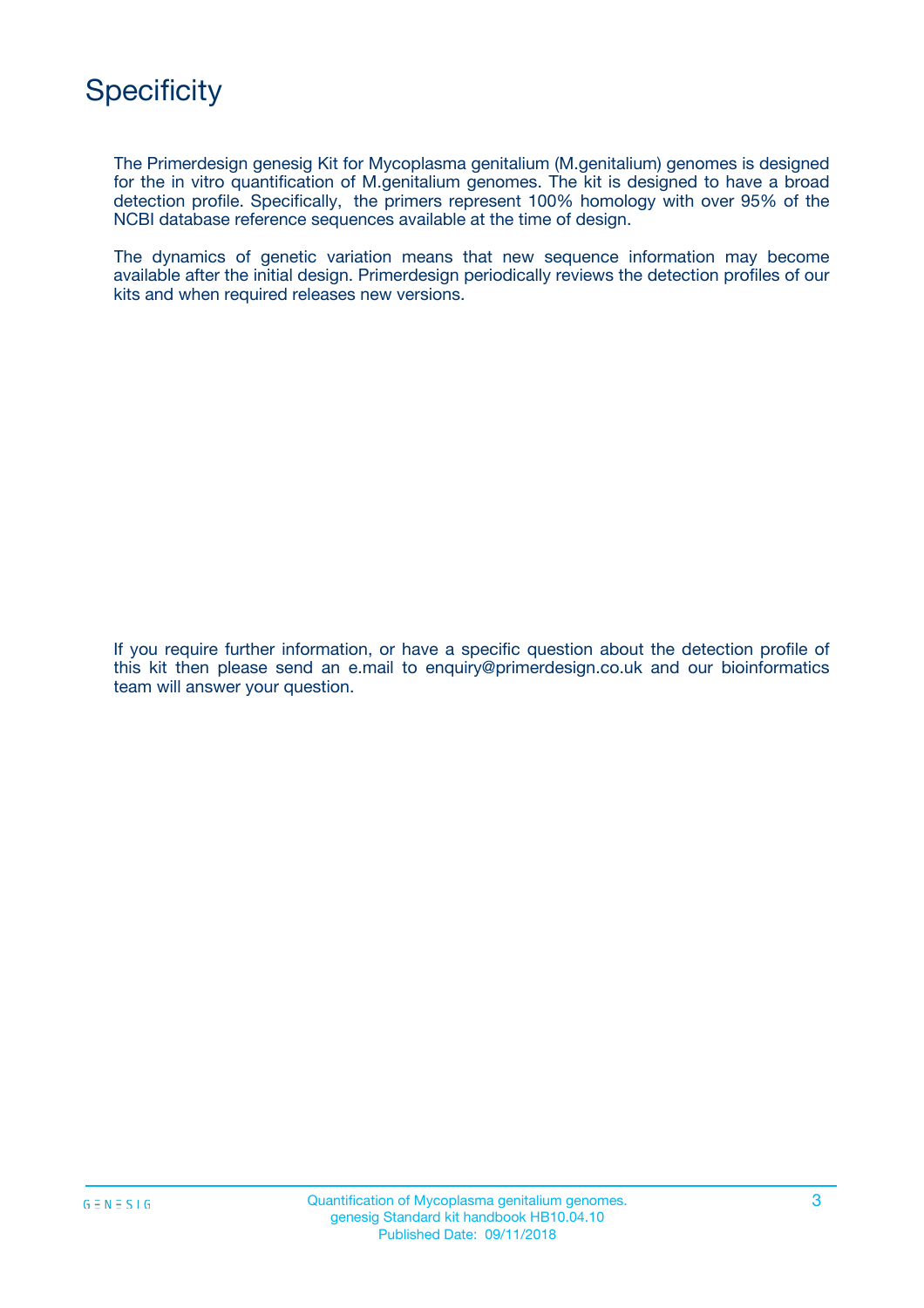

The Primerdesign genesig Kit for Mycoplasma genitalium (M.genitalium) genomes is designed for the in vitro quantification of M.genitalium genomes. The kit is designed to have a broad detection profile. Specifically, the primers represent 100% homology with over 95% of the NCBI database reference sequences available at the time of design.

The dynamics of genetic variation means that new sequence information may become available after the initial design. Primerdesign periodically reviews the detection profiles of our kits and when required releases new versions.

If you require further information, or have a specific question about the detection profile of this kit then please send an e.mail to enquiry@primerdesign.co.uk and our bioinformatics team will answer your question.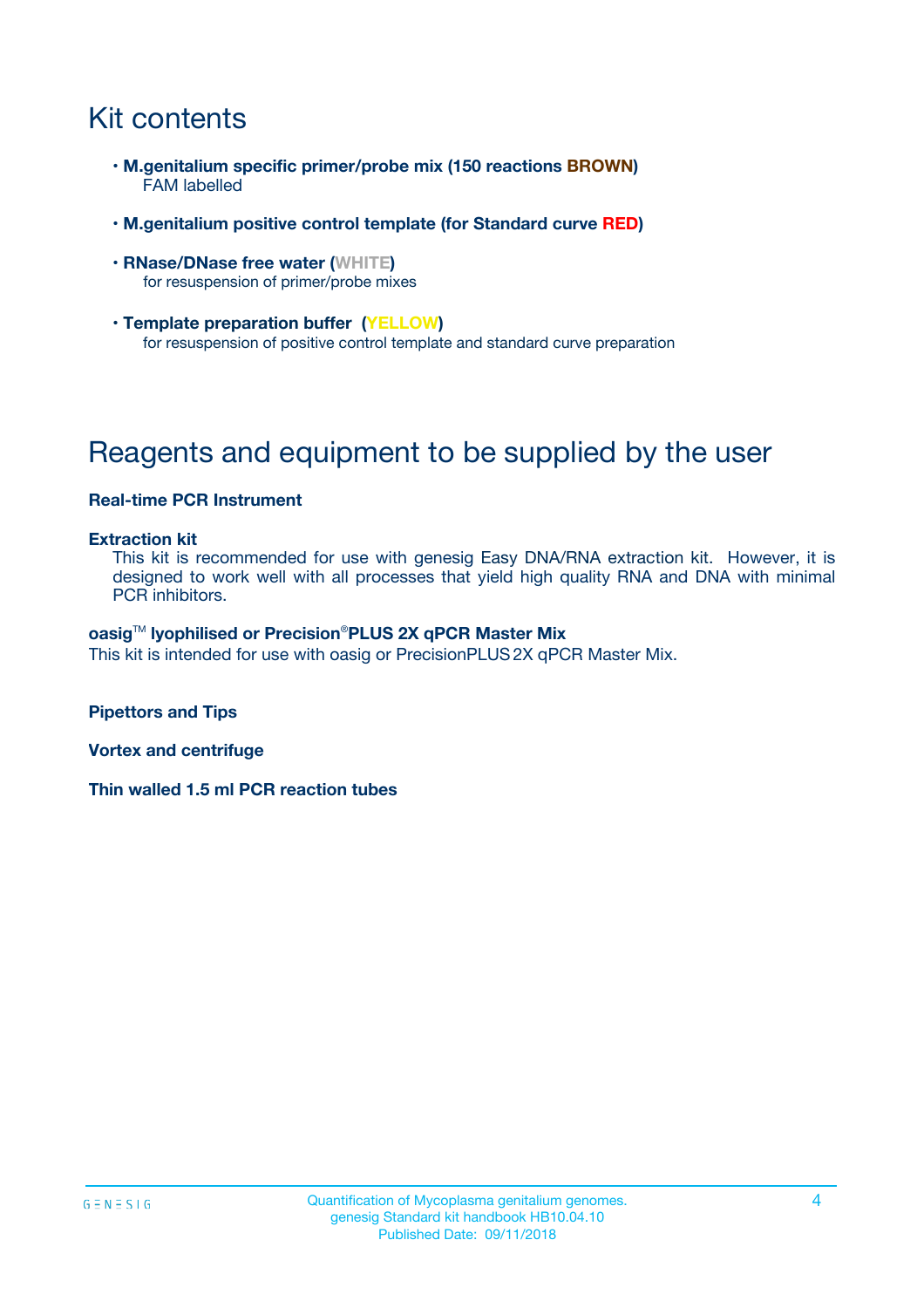# Kit contents

- **M.genitalium specific primer/probe mix (150 reactions BROWN)** FAM labelled
- **M.genitalium positive control template (for Standard curve RED)**
- **RNase/DNase free water (WHITE)** for resuspension of primer/probe mixes
- **Template preparation buffer (YELLOW)** for resuspension of positive control template and standard curve preparation

# Reagents and equipment to be supplied by the user

### **Real-time PCR Instrument**

#### **Extraction kit**

This kit is recommended for use with genesig Easy DNA/RNA extraction kit. However, it is designed to work well with all processes that yield high quality RNA and DNA with minimal PCR inhibitors.

#### **oasig**TM **lyophilised or Precision**®**PLUS 2X qPCR Master Mix**

This kit is intended for use with oasig or PrecisionPLUS2X qPCR Master Mix.

**Pipettors and Tips**

**Vortex and centrifuge**

**Thin walled 1.5 ml PCR reaction tubes**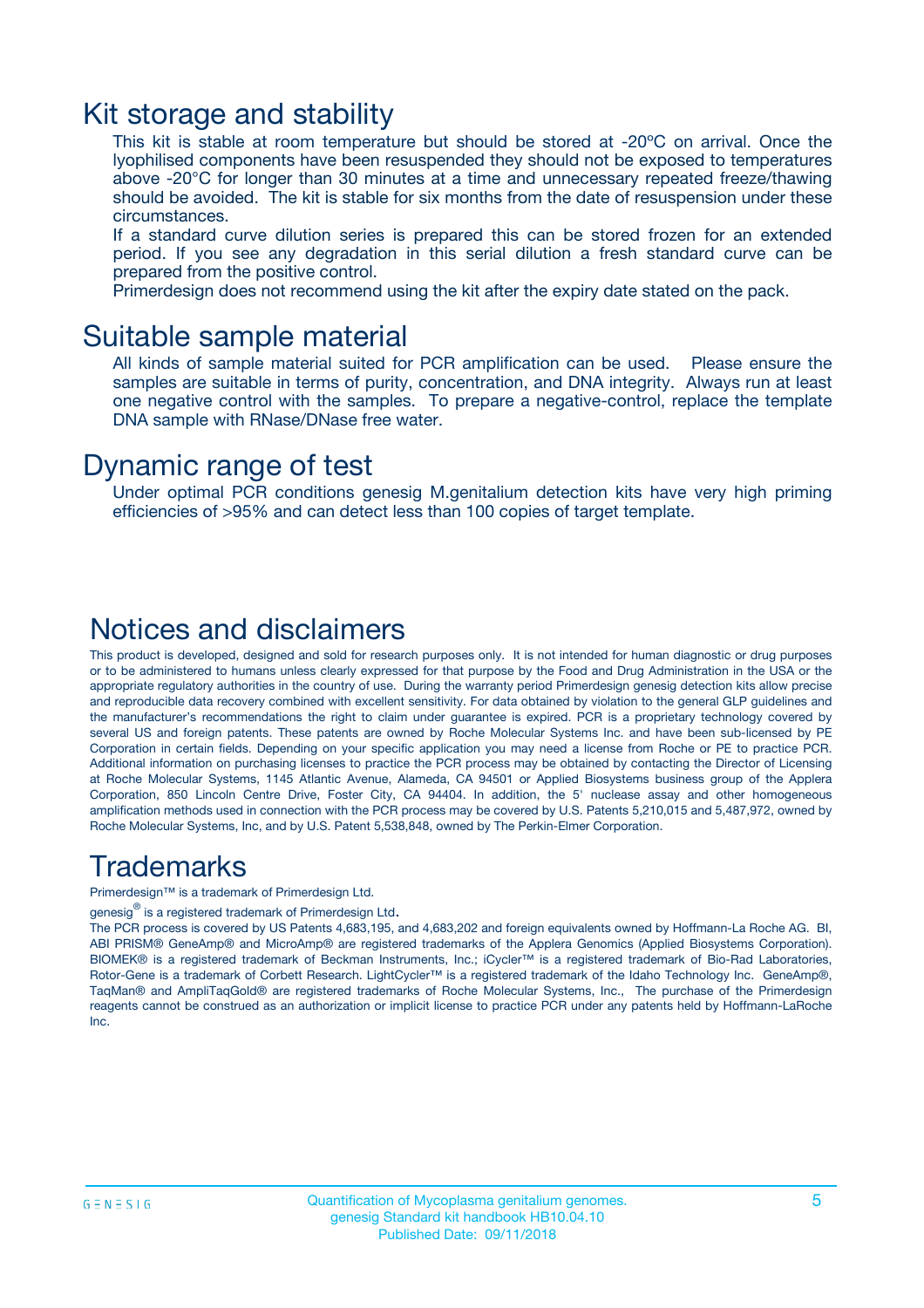### Kit storage and stability

This kit is stable at room temperature but should be stored at -20ºC on arrival. Once the lyophilised components have been resuspended they should not be exposed to temperatures above -20°C for longer than 30 minutes at a time and unnecessary repeated freeze/thawing should be avoided. The kit is stable for six months from the date of resuspension under these circumstances.

If a standard curve dilution series is prepared this can be stored frozen for an extended period. If you see any degradation in this serial dilution a fresh standard curve can be prepared from the positive control.

Primerdesign does not recommend using the kit after the expiry date stated on the pack.

### Suitable sample material

All kinds of sample material suited for PCR amplification can be used. Please ensure the samples are suitable in terms of purity, concentration, and DNA integrity. Always run at least one negative control with the samples. To prepare a negative-control, replace the template DNA sample with RNase/DNase free water.

### Dynamic range of test

Under optimal PCR conditions genesig M.genitalium detection kits have very high priming efficiencies of >95% and can detect less than 100 copies of target template.

### Notices and disclaimers

This product is developed, designed and sold for research purposes only. It is not intended for human diagnostic or drug purposes or to be administered to humans unless clearly expressed for that purpose by the Food and Drug Administration in the USA or the appropriate regulatory authorities in the country of use. During the warranty period Primerdesign genesig detection kits allow precise and reproducible data recovery combined with excellent sensitivity. For data obtained by violation to the general GLP guidelines and the manufacturer's recommendations the right to claim under guarantee is expired. PCR is a proprietary technology covered by several US and foreign patents. These patents are owned by Roche Molecular Systems Inc. and have been sub-licensed by PE Corporation in certain fields. Depending on your specific application you may need a license from Roche or PE to practice PCR. Additional information on purchasing licenses to practice the PCR process may be obtained by contacting the Director of Licensing at Roche Molecular Systems, 1145 Atlantic Avenue, Alameda, CA 94501 or Applied Biosystems business group of the Applera Corporation, 850 Lincoln Centre Drive, Foster City, CA 94404. In addition, the 5' nuclease assay and other homogeneous amplification methods used in connection with the PCR process may be covered by U.S. Patents 5,210,015 and 5,487,972, owned by Roche Molecular Systems, Inc, and by U.S. Patent 5,538,848, owned by The Perkin-Elmer Corporation.

### Trademarks

Primerdesign™ is a trademark of Primerdesign Ltd.

genesig $^\circledR$  is a registered trademark of Primerdesign Ltd.

The PCR process is covered by US Patents 4,683,195, and 4,683,202 and foreign equivalents owned by Hoffmann-La Roche AG. BI, ABI PRISM® GeneAmp® and MicroAmp® are registered trademarks of the Applera Genomics (Applied Biosystems Corporation). BIOMEK® is a registered trademark of Beckman Instruments, Inc.; iCycler™ is a registered trademark of Bio-Rad Laboratories, Rotor-Gene is a trademark of Corbett Research. LightCycler™ is a registered trademark of the Idaho Technology Inc. GeneAmp®, TaqMan® and AmpliTaqGold® are registered trademarks of Roche Molecular Systems, Inc., The purchase of the Primerdesign reagents cannot be construed as an authorization or implicit license to practice PCR under any patents held by Hoffmann-LaRoche Inc.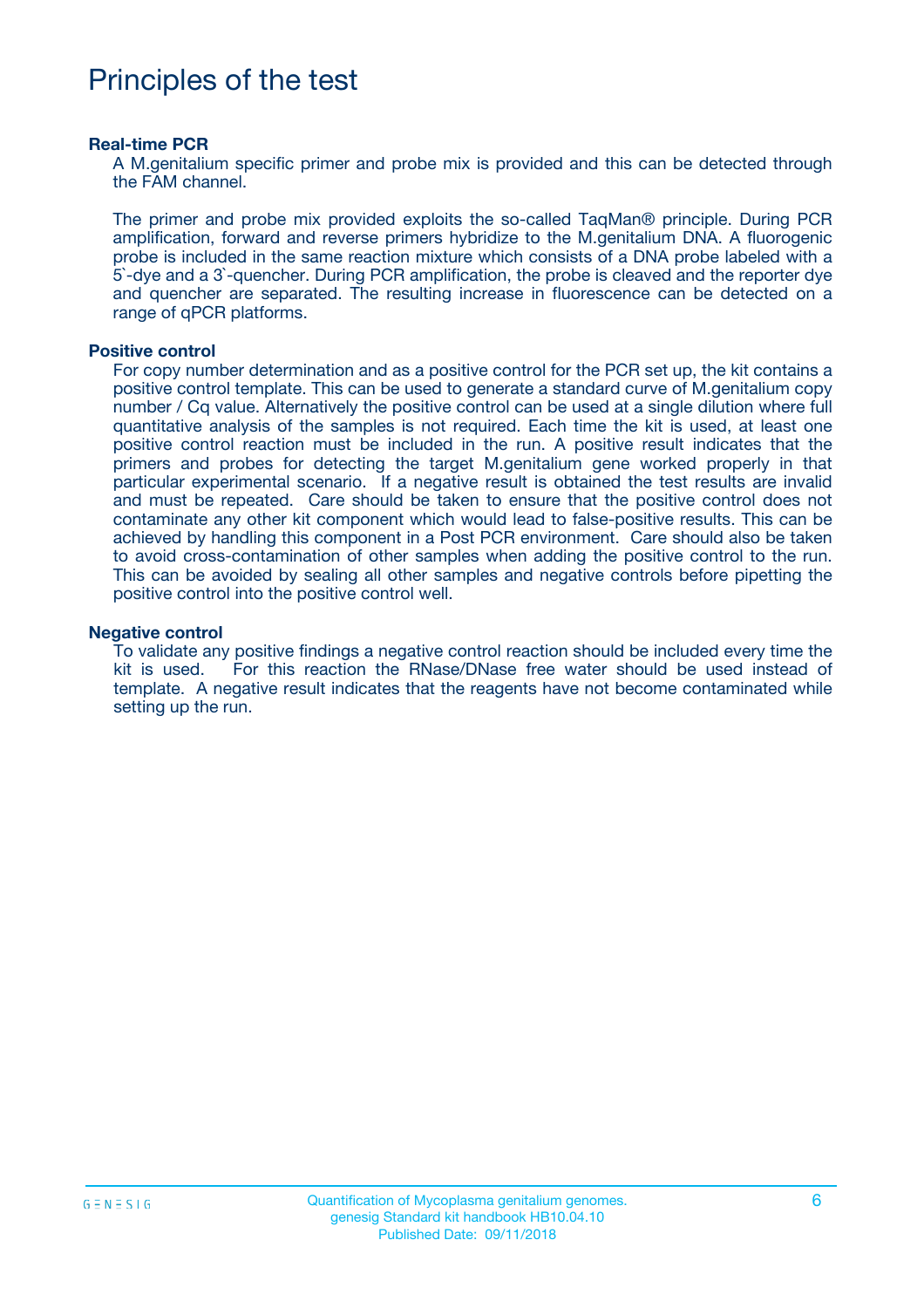# Principles of the test

#### **Real-time PCR**

A M.genitalium specific primer and probe mix is provided and this can be detected through the FAM channel.

The primer and probe mix provided exploits the so-called TaqMan® principle. During PCR amplification, forward and reverse primers hybridize to the M.genitalium DNA. A fluorogenic probe is included in the same reaction mixture which consists of a DNA probe labeled with a 5`-dye and a 3`-quencher. During PCR amplification, the probe is cleaved and the reporter dye and quencher are separated. The resulting increase in fluorescence can be detected on a range of qPCR platforms.

#### **Positive control**

For copy number determination and as a positive control for the PCR set up, the kit contains a positive control template. This can be used to generate a standard curve of M.genitalium copy number / Cq value. Alternatively the positive control can be used at a single dilution where full quantitative analysis of the samples is not required. Each time the kit is used, at least one positive control reaction must be included in the run. A positive result indicates that the primers and probes for detecting the target M.genitalium gene worked properly in that particular experimental scenario. If a negative result is obtained the test results are invalid and must be repeated. Care should be taken to ensure that the positive control does not contaminate any other kit component which would lead to false-positive results. This can be achieved by handling this component in a Post PCR environment. Care should also be taken to avoid cross-contamination of other samples when adding the positive control to the run. This can be avoided by sealing all other samples and negative controls before pipetting the positive control into the positive control well.

#### **Negative control**

To validate any positive findings a negative control reaction should be included every time the kit is used. For this reaction the RNase/DNase free water should be used instead of template. A negative result indicates that the reagents have not become contaminated while setting up the run.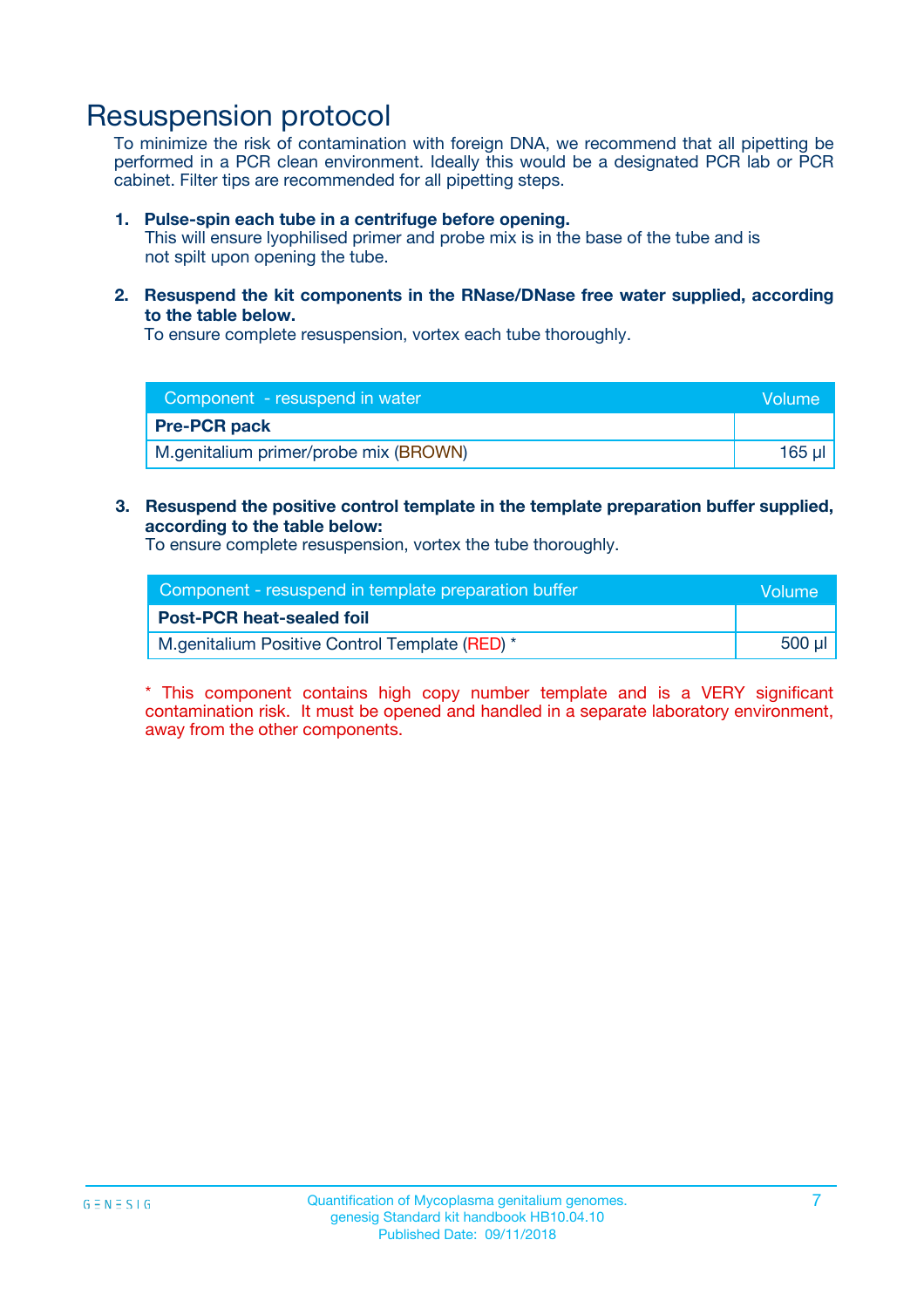## Resuspension protocol

To minimize the risk of contamination with foreign DNA, we recommend that all pipetting be performed in a PCR clean environment. Ideally this would be a designated PCR lab or PCR cabinet. Filter tips are recommended for all pipetting steps.

#### **1. Pulse-spin each tube in a centrifuge before opening.**

This will ensure lyophilised primer and probe mix is in the base of the tube and is not spilt upon opening the tube.

**2. Resuspend the kit components in the RNase/DNase free water supplied, according to the table below.**

To ensure complete resuspension, vortex each tube thoroughly.

| Component - resuspend in water        | Volume |
|---------------------------------------|--------|
| <b>Pre-PCR pack</b>                   |        |
| M.genitalium primer/probe mix (BROWN) | 165 ul |

#### **3. Resuspend the positive control template in the template preparation buffer supplied, according to the table below:**

To ensure complete resuspension, vortex the tube thoroughly.

| Component - resuspend in template preparation buffer | lVolume' |
|------------------------------------------------------|----------|
| <b>Post-PCR heat-sealed foil</b>                     |          |
| M.genitalium Positive Control Template (RED) *       | 500 µl   |

\* This component contains high copy number template and is a VERY significant contamination risk. It must be opened and handled in a separate laboratory environment, away from the other components.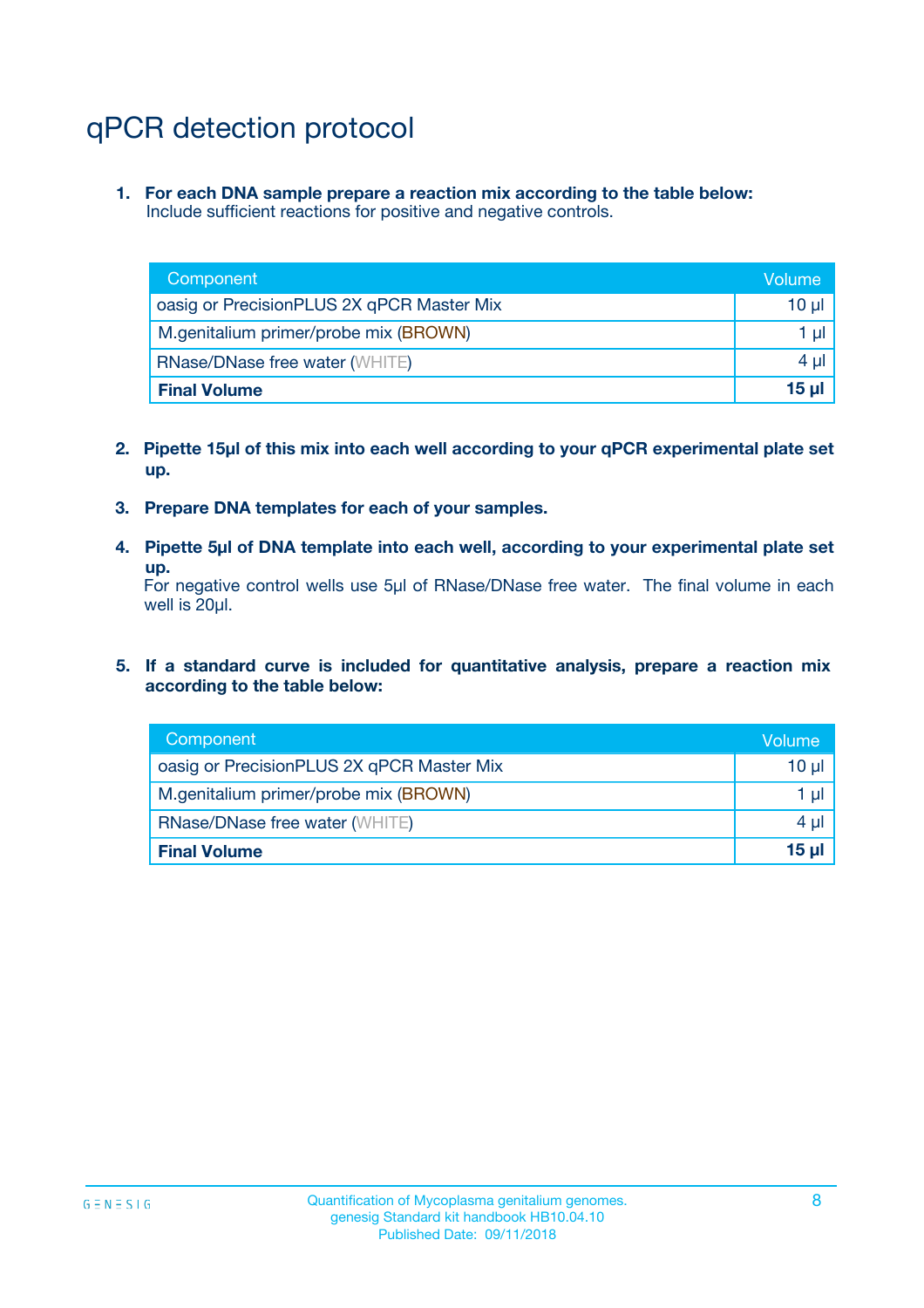# qPCR detection protocol

**1. For each DNA sample prepare a reaction mix according to the table below:** Include sufficient reactions for positive and negative controls.

| Component                                 | Volume          |
|-------------------------------------------|-----------------|
| oasig or PrecisionPLUS 2X qPCR Master Mix | 10 $\mu$        |
| M.genitalium primer/probe mix (BROWN)     | 1 $\mu$         |
| <b>RNase/DNase free water (WHITE)</b>     | $4 \mu$         |
| <b>Final Volume</b>                       | 15 <sub>µ</sub> |

- **2. Pipette 15µl of this mix into each well according to your qPCR experimental plate set up.**
- **3. Prepare DNA templates for each of your samples.**
- **4. Pipette 5µl of DNA template into each well, according to your experimental plate set up.**

For negative control wells use 5µl of RNase/DNase free water. The final volume in each well is 20µl.

**5. If a standard curve is included for quantitative analysis, prepare a reaction mix according to the table below:**

| Component                                 | Volume   |
|-------------------------------------------|----------|
| oasig or PrecisionPLUS 2X qPCR Master Mix | 10 µl    |
| M.genitalium primer/probe mix (BROWN)     | 1 µI     |
| <b>RNase/DNase free water (WHITE)</b>     | $4 \mu$  |
| <b>Final Volume</b>                       | $15 \mu$ |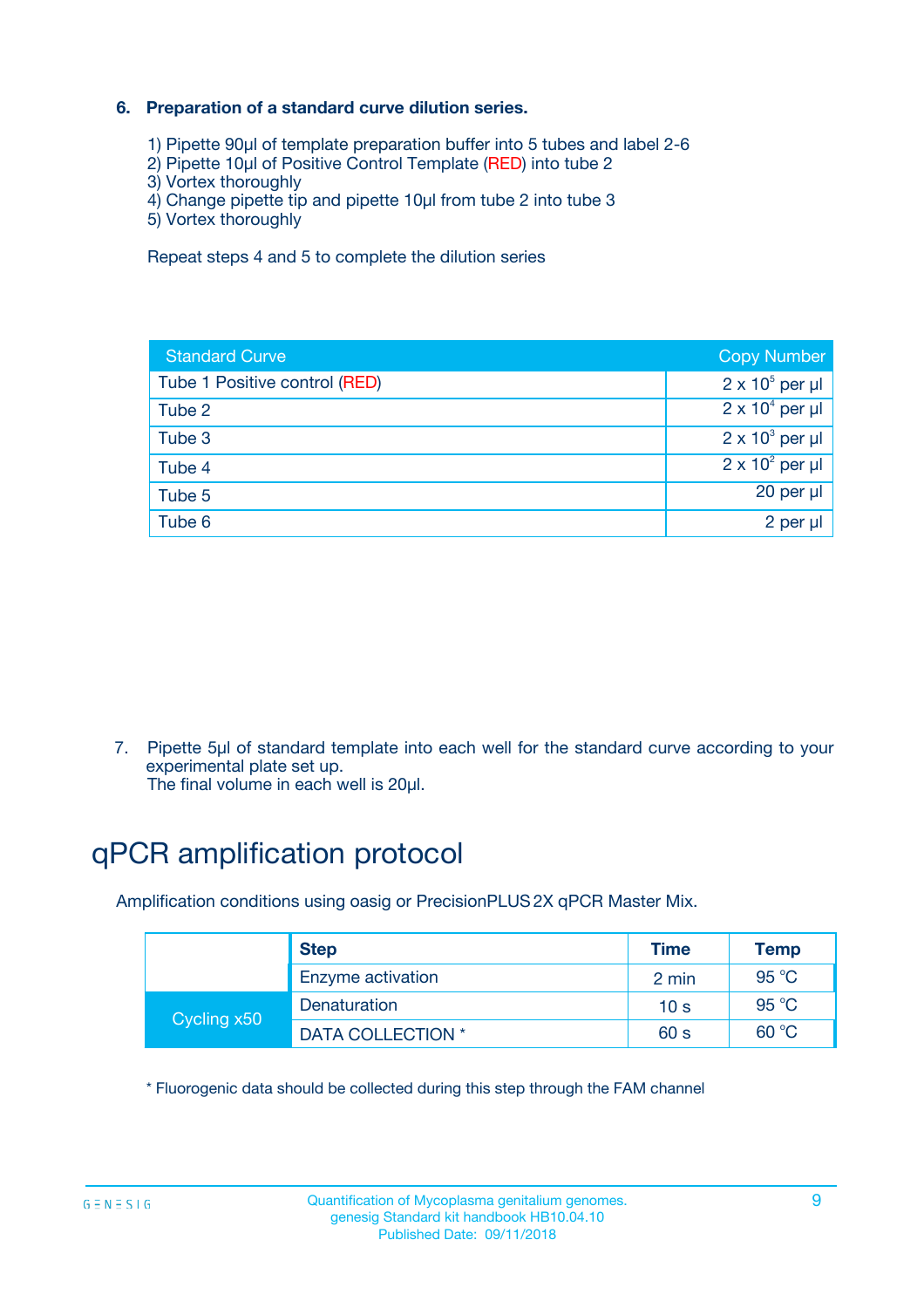### **6. Preparation of a standard curve dilution series.**

- 1) Pipette 90µl of template preparation buffer into 5 tubes and label 2-6
- 2) Pipette 10µl of Positive Control Template (RED) into tube 2
- 3) Vortex thoroughly
- 4) Change pipette tip and pipette 10µl from tube 2 into tube 3
- 5) Vortex thoroughly

Repeat steps 4 and 5 to complete the dilution series

| <b>Standard Curve</b>         | <b>Copy Number</b>     |
|-------------------------------|------------------------|
| Tube 1 Positive control (RED) | $2 \times 10^5$ per µl |
| Tube 2                        | $2 \times 10^4$ per µl |
| Tube 3                        | $2 \times 10^3$ per µl |
| Tube 4                        | $2 \times 10^2$ per µl |
| Tube 5                        | 20 per µl              |
| Tube 6                        | $2$ per $\mu$          |

7. Pipette 5µl of standard template into each well for the standard curve according to your experimental plate set up.

The final volume in each well is 20µl.

# qPCR amplification protocol

Amplification conditions using oasig or PrecisionPLUS2X qPCR Master Mix.

|             | <b>Step</b>       | <b>Time</b>     | Temp           |
|-------------|-------------------|-----------------|----------------|
|             | Enzyme activation | 2 min           | $95^{\circ}$ C |
| Cycling x50 | Denaturation      | 10 <sub>s</sub> | 95 $°C$        |
|             | DATA COLLECTION * | 60 s            | 60 °C          |

\* Fluorogenic data should be collected during this step through the FAM channel